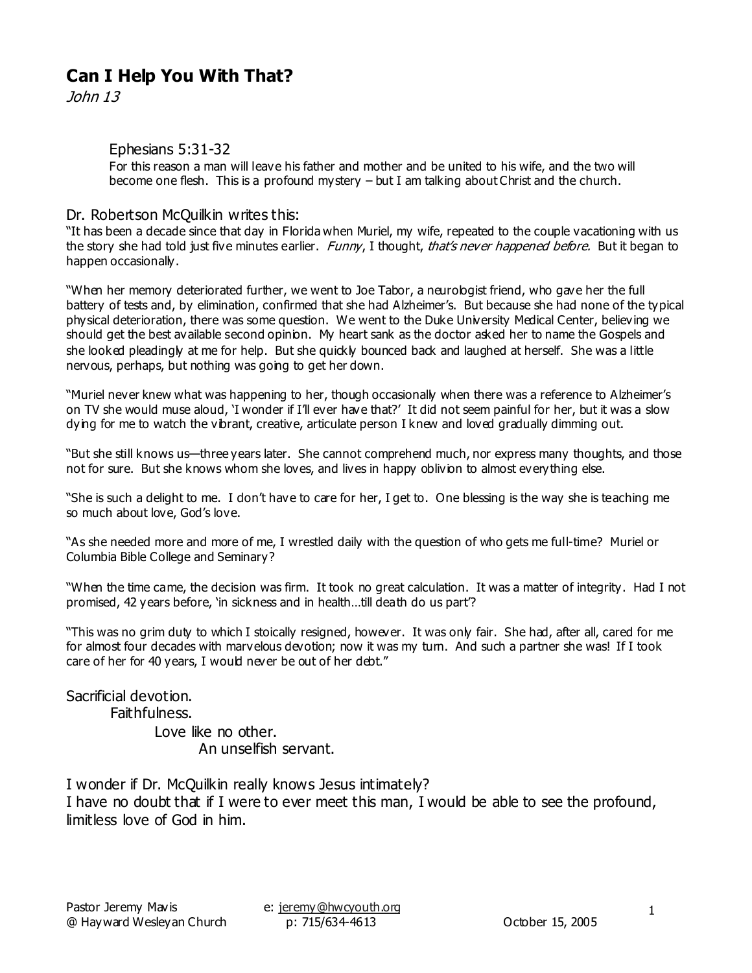# **Can I Help You With That?**

John 13

#### Ephesians 5:31-32

For this reason a man will leave his father and mother and be united to his wife, and the two will become one flesh. This is a profound mystery – but I am talking about Christ and the church.

#### Dr. Robertson McQuilkin writes this:

"It has been a decade since that day in Florida when Muriel, my wife, repeated to the couple vacationing with us the story she had told just five minutes earlier. Funny, I thought, that's never happened before. But it began to happen occasionally.

"When her memory deteriorated further, we went to Joe Tabor, a neurobgist friend, who gave her the full battery of tests and, by elimination, confirmed that she had Alzheimer's. But because she had none of the typical physical deterioration, there was some question. We went to the Duke University Medical Center, believing we should get the best available second opinion. My heart sank as the doctor asked her to name the Gospels and she looked pleadingly at me for help. But she quickly bounced back and laughed at herself. She was a little nervous, perhaps, but nothing was going to get her down.

"Muriel never knew what was happening to her, though occasionally when there was a reference to Alzheimer's on TV she would muse aloud, 'I wonder if I'll ever have that?' It did not seem painful for her, but it was a slow dying for me to watch the vibrant, creative, articulate person I knew and loved gradually dimming out.

"But she still knows us—three years later. She cannot comprehend much, nor express many thoughts, and those not for sure. But she knows whom she loves, and lives in happy oblivion to almost everything else.

"She is such a delight to me. I don't have to care for her, I get to. One blessing is the way she is teaching me so much about love, God's love.

"As she needed more and more of me, I wrestled daily with the question of who gets me full-time? Muriel or Columbia Bible College and Seminary?

"When the time came, the decision was firm. It took no great calculation. It was a matter of integrity. Had I not promised, 42 years before, 'in sickness and in health…till death do us part'?

"This was no grim duty to which I stoically resigned, however. It was only fair. She had, after all, cared for me for almost four decades with marvelous devotion; now it was my turn. And such a partner she was! If I took care of her for 40 years, I would never be out of her debt."

Sacrificial devotion. Faithfulness. Love like no other. An unselfish servant.

I wonder if Dr. McQuilkin really knows Jesus intimately? I have no doubt that if I were to ever meet this man, I would be able to see the profound, limitless love of God in him.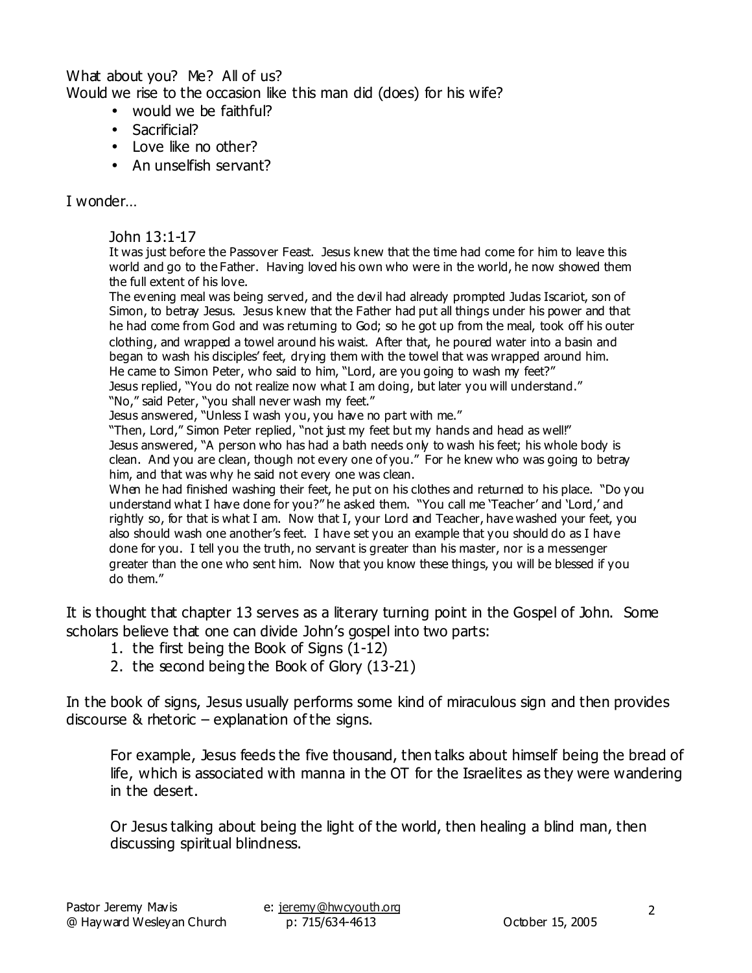# What about you? Me? All of us? Would we rise to the occasion like this man did (does) for his wife?

- would we be faithful?
- Sacrificial?
- Love like no other?
- An unselfish servant?

### I wonder…

#### John 13:1-17

It was just before the Passover Feast. Jesus knew that the time had come for him to leave this world and go to the Father. Having loved his own who were in the world, he now showed them the full extent of his love.

The evening meal was being served, and the devil had already prompted Judas Iscariot, son of Simon, to betray Jesus. Jesus knew that the Father had put all things under his power and that he had come from God and was returning to God; so he got up from the meal, took off his outer clothing, and wrapped a towel around his waist. After that, he poured water into a basin and began to wash his disciples' feet, drying them with the towel that was wrapped around him. He came to Simon Peter, who said to him, "Lord, are you going to wash my feet?"

Jesus replied, "You do not realize now what I am doing, but later you will understand." "No," said Peter, "you shall never wash my feet."

Jesus answered, "Unless I wash you, you have no part with me."

"Then, Lord," Simon Peter replied, "not just my feet but my hands and head as well!" Jesus answered, "A person who has had a bath needs only to wash his feet; his whole body is clean. And you are clean, though not every one of you." For he knew who was going to betray him, and that was why he said not every one was clean.

When he had finished washing their feet, he put on his clothes and returned to his place. "Do you understand what I have done for you?" he asked them. "You call me 'Teacher' and 'Lord,' and rightly so, for that is what I am. Now that I, your Lord and Teacher, have washed your feet, you also should wash one another's feet. I have set you an example that you should do as I have done for you. I tell you the truth, no servant is greater than his master, nor is a messenger greater than the one who sent him. Now that you know these things, you will be blessed if you do them."

It is thought that chapter 13 serves as a literary turning point in the Gospel of John. Some scholars believe that one can divide John's gospel into two parts:

- 1. the first being the Book of Signs (1-12)
- 2. the second being the Book of Glory (13-21)

In the book of signs, Jesus usually performs some kind of miraculous sign and then provides discourse & rhetoric – explanation of the signs.

For example, Jesus feeds the five thousand, then talks about himself being the bread of life, which is associated with manna in the OT for the Israelites as they were wandering in the desert.

Or Jesus talking about being the light of the world, then healing a blind man, then discussing spiritual blindness.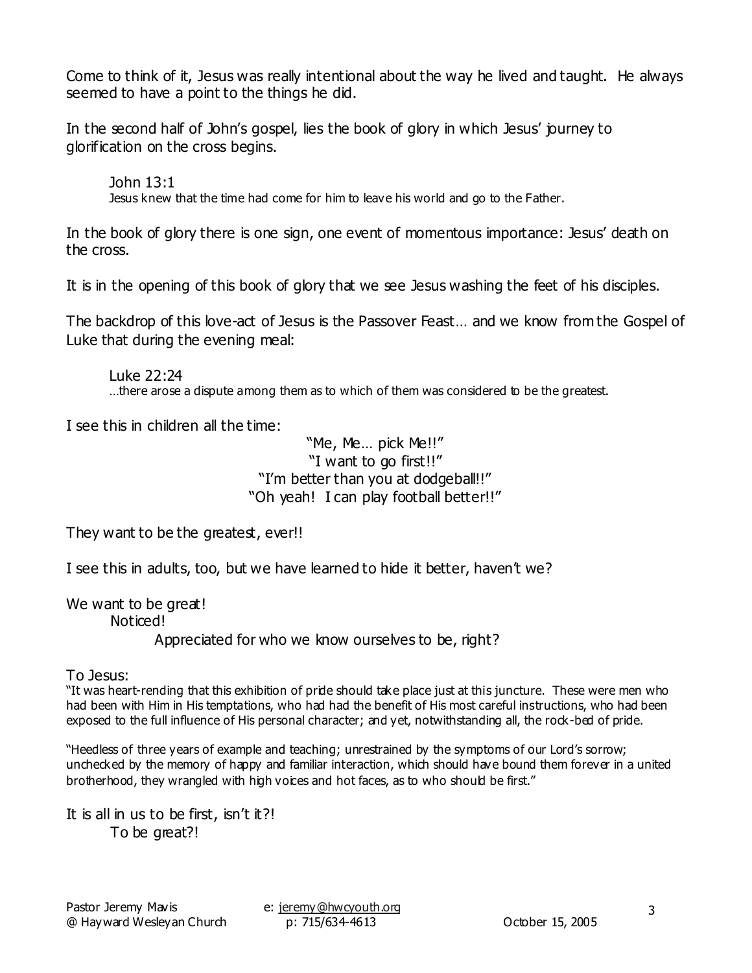Come to think of it, Jesus was really intentional about the way he lived and taught. He always seemed to have a point to the things he did.

In the second half of John's gospel, lies the book of glory in which Jesus' journey to glorification on the cross begins.

John 13:1 Jesus knew that the time had come for him to leave his world and go to the Father.

In the book of glory there is one sign, one event of momentous importance: Jesus' death on the cross.

It is in the opening of this book of glory that we see Jesus washing the feet of his disciples.

The backdrop of this love-act of Jesus is the Passover Feast… and we know from the Gospel of Luke that during the evening meal:

Luke 22:24 …there arose a dispute among them as to which of them was considered to be the greatest.

I see this in children all the time:

"Me, Me… pick Me!!" "I want to go first!!" "I'm better than you at dodgeball!!" "Oh yeah! I can play football better!!"

They want to be the greatest, ever!!

I see this in adults, too, but we have learned to hide it better, haven't we?

We want to be great!

Noticed!

Appreciated for who we know ourselves to be, right?

To Jesus:

"It was heart-rending that this exhibition of pride should take place just at this juncture. These were men who had been with Him in His temptations, who had had the benefit of His most careful instructions, who had been exposed to the full influence of His personal character; and yet, notwithstanding all, the rock-bed of pride.

"Heedless of three years of example and teaching; unrestrained by the symptoms of our Lord's sorrow; unchecked by the memory of happy and familiar interaction, which should have bound them forever in a united brotherhood, they wrangled with high voices and hot faces, as to who should be first."

It is all in us to be first, isn't it?! To be great?!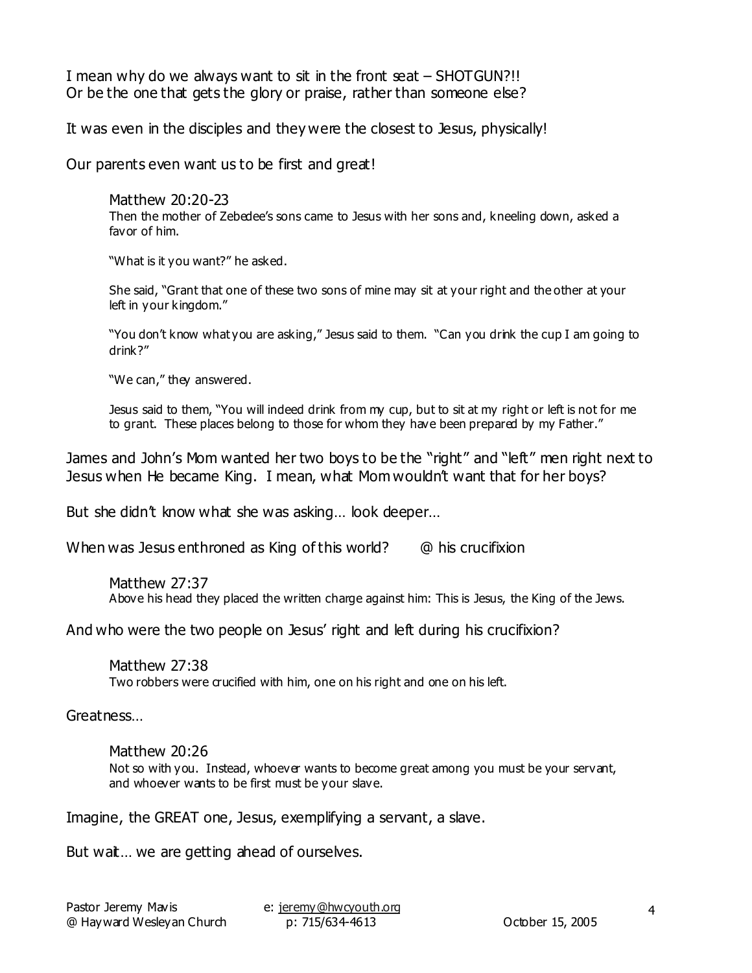I mean why do we always want to sit in the front seat – SHOTGUN?!! Or be the one that gets the glory or praise, rather than someone else?

It was even in the disciples and they were the closest to Jesus, physically!

Our parents even want us to be first and great!

Matthew 20:20-23 Then the mother of Zebedee's sons came to Jesus with her sons and, kneeling down, asked a favor of him.

"What is it you want?" he asked.

She said, "Grant that one of these two sons of mine may sit at your right and the other at your left in your kingdom."

"You don't know what you are asking," Jesus said to them. "Can you drink the cup I am going to drink?"

"We can," they answered.

Jesus said to them, "You will indeed drink from my cup, but to sit at my right or left is not for me to grant. These places belong to those for whom they have been prepared by my Father."

James and John's Mom wanted her two boys to be the "right" and "left" men right next to Jesus when He became King. I mean, what Mom wouldn't want that for her boys?

But she didn't know what she was asking… look deeper…

When was Jesus enthroned as King of this world?  $\qquad \textcircled{a}$  his crucifixion

Matthew 27:37 Above his head they placed the written charge against him: This is Jesus, the King of the Jews.

And who were the two people on Jesus' right and left during his crucifixion?

Matthew 27:38 Two robbers were crucified with him, one on his right and one on his left.

Greatness…

Matthew 20:26 Not so with you. Instead, whoever wants to become great among you must be your servant, and whoever wants to be first must be your slave.

Imagine, the GREAT one, Jesus, exemplifying a servant, a slave.

But wait... we are getting ahead of ourselves.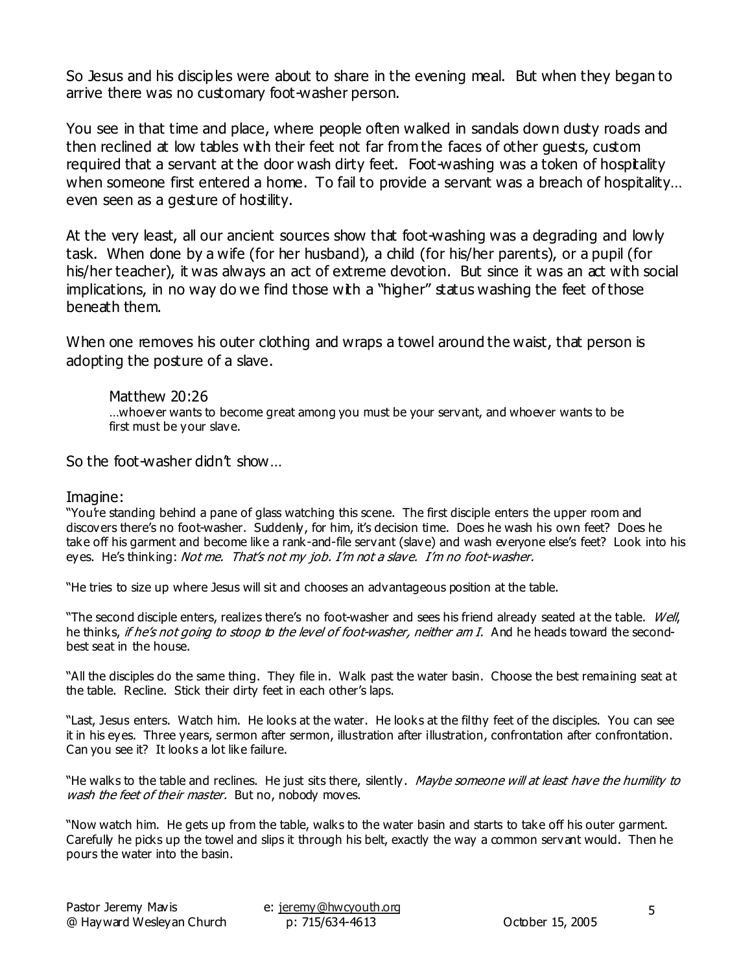So Jesus and his disciples were about to share in the evening meal. But when they began to arrive there was no customary foot-washer person.

You see in that time and place, where people often walked in sandals down dusty roads and then reclined at low tables with their feet not far from the faces of other quests, custom required that a servant at the door wash dirty feet. Foot-washing was a token of hospitality when someone first entered a home. To fail to provide a servant was a breach of hospitality... even seen as a gesture of hostility.

At the very least, all our ancient sources show that foot-washing was a degrading and lowly task. When done by a wife (for her husband), a child (for his/her parents), or a pupil (for his/her teacher), it was always an act of extreme devotion. But since it was an act with social implications, in no way do we find those with a "higher" status washing the feet of those beneath them.

When one removes his outer clothing and wraps a towel around the waist, that person is adopting the posture of a slave.

Matthew 20:26 …whoever wants to become great among you must be your servant, and whoever wants to be first must be your slave.

So the foot-washer didn't show…

#### Imagine:

"You're standing behind a pane of glass watching this scene. The first disciple enters the upper room and discovers there's no foot-washer. Suddenly, for him, it's decision time. Does he wash his own feet? Does he take off his garment and become like a rank-and-file servant (slave) and wash everyone else's feet? Look into his eyes. He's thinking: Not me. That's not my job. I'm not a slave. I'm no foot-washer.

"He tries to size up where Jesus will sit and chooses an advantageous position at the table.

"The second disciple enters, realizes there's no foot-washer and sees his friend already seated at the table. Well, he thinks, if he's not going to stoop to the level of foot-washer, neither am I. And he heads toward the secondbest seat in the house.

"All the disciples do the same thing. They file in. Walk past the water basin. Choose the best remaining seat at the table. Recline. Stick their dirty feet in each other's laps.

"Last, Jesus enters. Watch him. He looks at the water. He looks at the filthy feet of the disciples. You can see it in his eyes. Three years, sermon after sermon, illustration after illustration, confrontation after confrontation. Can you see it? It looks a lot like failure.

"He walks to the table and reclines. He just sits there, silently. *Maybe someone will at least have the humility to* wash the feet of their master. But no, nobody moves.

"Now watch him. He gets up from the table, walks to the water basin and starts to take off his outer garment. Carefully he picks up the towel and slips it through his belt, exactly the way a common servant would. Then he pours the water into the basin.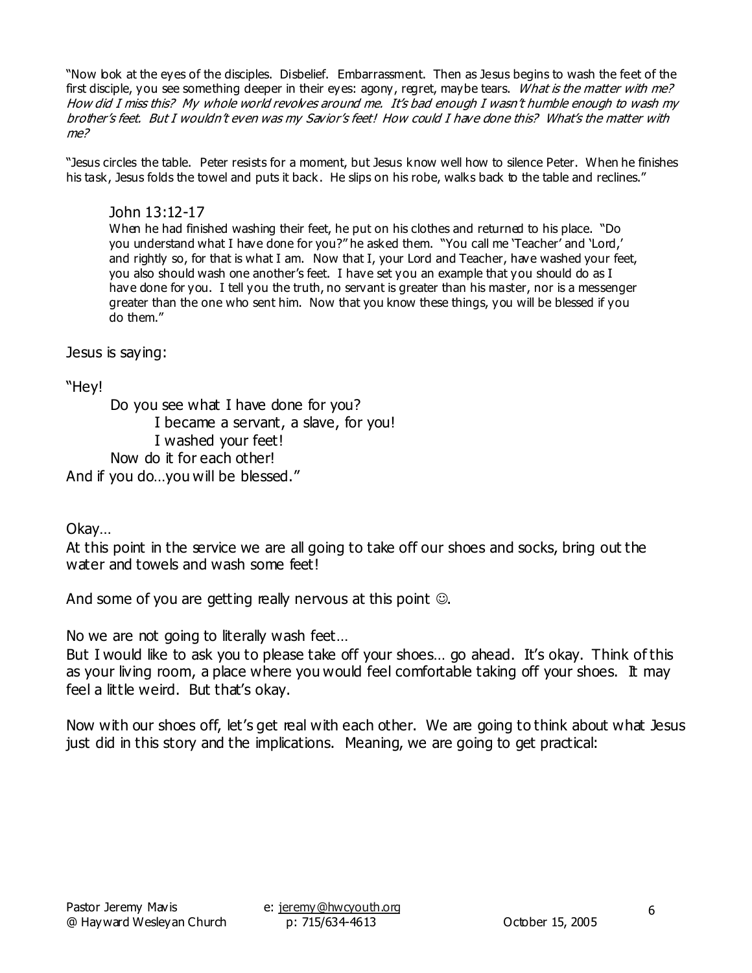"Now look at the eyes of the disciples. Disbelief. Embarrassment. Then as Jesus begins to wash the feet of the first disciple, you see something deeper in their eyes: agony, regret, maybe tears. What is the matter with me? How did I miss this? My whole world revolves around me. It's bad enough I wasn't humble enough to wash my brother's feet. But I wouldn't even was my Savior's feet! How could I have done this? What's the matter with me?

"Jesus circles the table. Peter resists for a moment, but Jesus know well how to silence Peter. When he finishes his task, Jesus folds the towel and puts it back. He slips on his robe, walks back to the table and reclines."

## John 13:12-17

When he had finished washing their feet, he put on his clothes and returned to his place. "Do you understand what I have done for you?" he asked them. "You call me 'Teacher' and 'Lord,' and rightly so, for that is what I am. Now that I, your Lord and Teacher, have washed your feet, you also should wash one another's feet. I have set you an example that you should do as I have done for you. I tell you the truth, no servant is greater than his master, nor is a messenger greater than the one who sent him. Now that you know these things, you will be blessed if you do them."

Jesus is saying:

"Hey!

Do you see what I have done for you? I became a servant, a slave, for you! I washed your feet! Now do it for each other! And if you do…you will be blessed."

Okay…

At this point in the service we are all going to take off our shoes and socks, bring out the water and towels and wash some feet!

And some of you are getting really nervous at this point  $\odot$ .

No we are not going to literally wash feet…

But I would like to ask you to please take off your shoes… go ahead. It's okay. Think of this as your living room, a place where you would feel comfortable taking off your shoes. It may feel a little weird. But that's okay.

Now with our shoes off, let's get real with each other. We are going to think about what Jesus just did in this story and the implications. Meaning, we are going to get practical: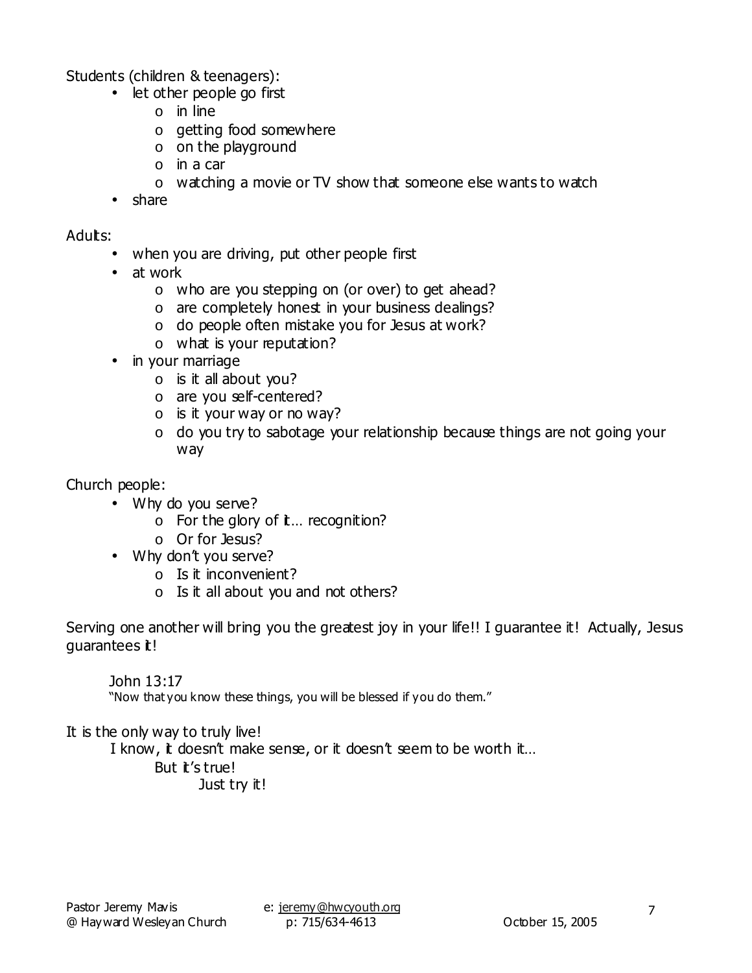Students (children & teenagers):

- let other people go first
	- o in line
	- o getting food somewhere
	- o on the playground
	- o in a car
	- o watching a movie or TV show that someone else wants to watch
- share

Adults:

- when you are driving, put other people first
- at work
	- o who are you stepping on (or over) to get ahead?
	- o are completely honest in your business dealings?
	- o do people often mistake you for Jesus at work?
	- $\circ$  what is your reputation?
- in your marriage
	- o is it all about you?
	- o are you self-centered?
	- $\circ$  is it your way or no way?
	- o do you try to sabotage your relationship because things are not going your way

Church people:

- Why do you serve?
	- $\circ$  For the glory of **t**... recognition?
	- o Or for Jesus?
- Why don't you serve?
	- o Is it inconvenient?
	- o Is it all about you and not others?

Serving one another will bring you the greatest joy in your life!! I guarantee it! Actually, Jesus guarantees it!

John 13:17 "Now that you know these things, you will be blessed if you do them."

It is the only way to truly live! I know, it doesn't make sense, or it doesn't seem to be worth it... But it's true! Just try it!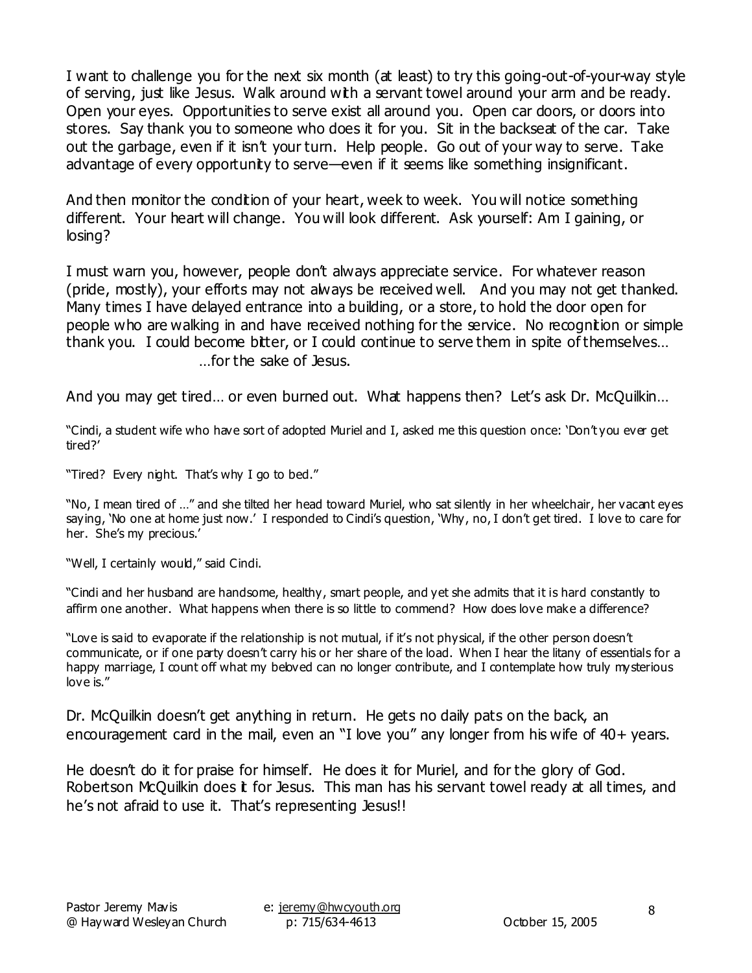I want to challenge you for the next six month (at least) to try this going-out-of-your-way style of serving, just like Jesus. Walk around with a servant towel around your arm and be ready. Open your eyes. Opportunities to serve exist all around you. Open car doors, or doors into stores. Say thank you to someone who does it for you. Sit in the backseat of the car. Take out the garbage, even if it isn't your turn. Help people. Go out of your way to serve. Take advantage of every opportunity to serve—even if it seems like something insignificant.

And then monitor the condition of your heart, week to week. You will notice something different. Your heart will change. You will look different. Ask yourself: Am I gaining, or losing?

I must warn you, however, people don't always appreciate service. For whatever reason (pride, mostly), your efforts may not always be received well. And you may not get thanked. Many times I have delayed entrance into a building, or a store, to hold the door open for people who are walking in and have received nothing for the service. No recognition or simple thank you. I could become bitter, or I could continue to serve them in spite of themselves… …for the sake of Jesus.

And you may get tired… or even burned out. What happens then? Let's ask Dr. McQuilkin…

"Cindi, a student wife who have sort of adopted Muriel and I, asked me this question once: 'Don't you ever get tired?'

"Tired? Every night. That's why I go to bed."

"No, I mean tired of …" and she tilted her head toward Muriel, who sat silently in her wheelchair, her vacant eyes saying, 'No one at home just now.' I responded to Cindi's question, 'Why, no, I don't get tired. I love to care for her. She's my precious.'

"Well, I certainly would," said Cindi.

"Cindi and her husband are handsome, healthy, smart people, and yet she admits that it is hard constantly to affirm one another. What happens when there is so little to commend? How does love make a difference?

"Love is said to evaporate if the relationship is not mutual, if it's not physical, if the other person doesn't communicate, or if one party doesn't carry his or her share of the load. When I hear the litany of essentials for a happy marriage, I count off what my bebyed can no longer contribute, and I contemplate how truly mysterious love is."

Dr. McQuilkin doesn't get anything in return. He gets no daily pats on the back, an encouragement card in the mail, even an "I love you" any longer from his wife of 40+ years.

He doesn't do it for praise for himself. He does it for Muriel, and for the glory of God. Robertson McQuilkin does it for Jesus. This man has his servant towel ready at all times, and he's not afraid to use it. That's representing Jesus!!